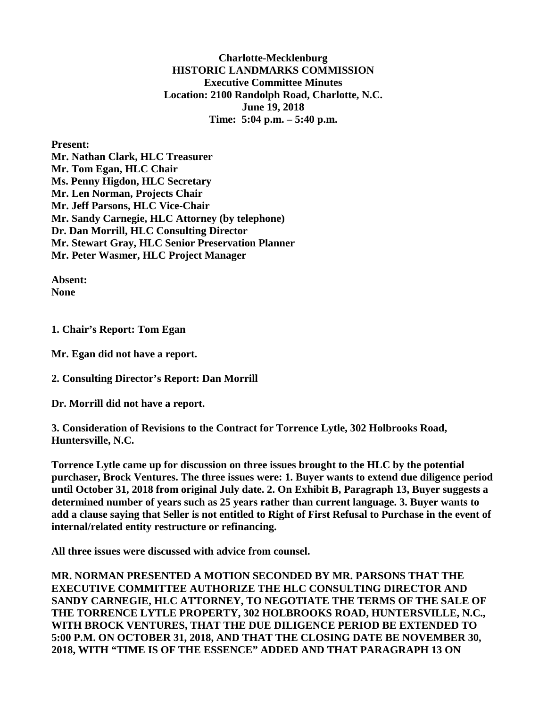**Charlotte-Mecklenburg HISTORIC LANDMARKS COMMISSION Executive Committee Minutes Location: 2100 Randolph Road, Charlotte, N.C. June 19, 2018 Time: 5:04 p.m. – 5:40 p.m.**

**Present:**

**Mr. Nathan Clark, HLC Treasurer Mr. Tom Egan, HLC Chair Ms. Penny Higdon, HLC Secretary Mr. Len Norman, Projects Chair Mr. Jeff Parsons, HLC Vice-Chair Mr. Sandy Carnegie, HLC Attorney (by telephone) Dr. Dan Morrill, HLC Consulting Director Mr. Stewart Gray, HLC Senior Preservation Planner Mr. Peter Wasmer, HLC Project Manager** 

**Absent: None**

**1. Chair's Report: Tom Egan**

**Mr. Egan did not have a report.** 

**2. Consulting Director's Report: Dan Morrill** 

**Dr. Morrill did not have a report.** 

**3. Consideration of Revisions to the Contract for Torrence Lytle, 302 Holbrooks Road, Huntersville, N.C.**

**Torrence Lytle came up for discussion on three issues brought to the HLC by the potential purchaser, Brock Ventures. The three issues were: 1. Buyer wants to extend due diligence period until October 31, 2018 from original July date. 2. On Exhibit B, Paragraph 13, Buyer suggests a determined number of years such as 25 years rather than current language. 3. Buyer wants to add a clause saying that Seller is not entitled to Right of First Refusal to Purchase in the event of internal/related entity restructure or refinancing.**

**All three issues were discussed with advice from counsel.**

**MR. NORMAN PRESENTED A MOTION SECONDED BY MR. PARSONS THAT THE EXECUTIVE COMMITTEE AUTHORIZE THE HLC CONSULTING DIRECTOR AND SANDY CARNEGIE, HLC ATTORNEY, TO NEGOTIATE THE TERMS OF THE SALE OF THE TORRENCE LYTLE PROPERTY, 302 HOLBROOKS ROAD, HUNTERSVILLE, N.C., WITH BROCK VENTURES, THAT THE DUE DILIGENCE PERIOD BE EXTENDED TO 5:00 P.M. ON OCTOBER 31, 2018, AND THAT THE CLOSING DATE BE NOVEMBER 30, 2018, WITH "TIME IS OF THE ESSENCE" ADDED AND THAT PARAGRAPH 13 ON**